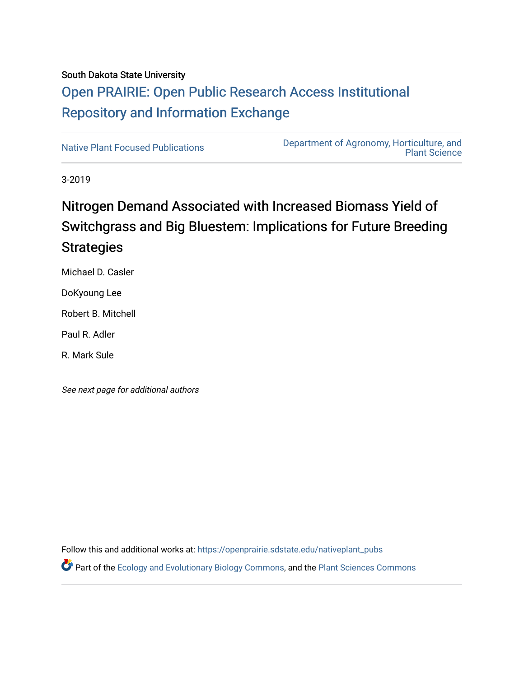# South Dakota State University [Open PRAIRIE: Open Public Research Access Institutional](https://openprairie.sdstate.edu/)  [Repository and Information Exchange](https://openprairie.sdstate.edu/)

[Native Plant Focused Publications](https://openprairie.sdstate.edu/nativeplant_pubs) [Department of Agronomy, Horticulture, and](https://openprairie.sdstate.edu/plant)  [Plant Science](https://openprairie.sdstate.edu/plant) 

3-2019

# Nitrogen Demand Associated with Increased Biomass Yield of Switchgrass and Big Bluestem: Implications for Future Breeding **Strategies**

Michael D. Casler

DoKyoung Lee

Robert B. Mitchell

Paul R. Adler

R. Mark Sule

See next page for additional authors

Follow this and additional works at: [https://openprairie.sdstate.edu/nativeplant\\_pubs](https://openprairie.sdstate.edu/nativeplant_pubs?utm_source=openprairie.sdstate.edu%2Fnativeplant_pubs%2F5&utm_medium=PDF&utm_campaign=PDFCoverPages)  Part of the [Ecology and Evolutionary Biology Commons](http://network.bepress.com/hgg/discipline/14?utm_source=openprairie.sdstate.edu%2Fnativeplant_pubs%2F5&utm_medium=PDF&utm_campaign=PDFCoverPages), and the [Plant Sciences Commons](http://network.bepress.com/hgg/discipline/102?utm_source=openprairie.sdstate.edu%2Fnativeplant_pubs%2F5&utm_medium=PDF&utm_campaign=PDFCoverPages)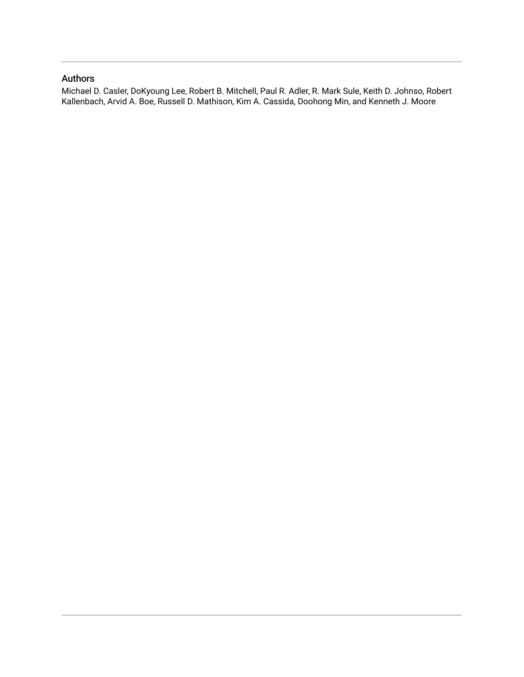## Authors

Michael D. Casler, DoKyoung Lee, Robert B. Mitchell, Paul R. Adler, R. Mark Sule, Keith D. Johnso, Robert Kallenbach, Arvid A. Boe, Russell D. Mathison, Kim A. Cassida, Doohong Min, and Kenneth J. Moore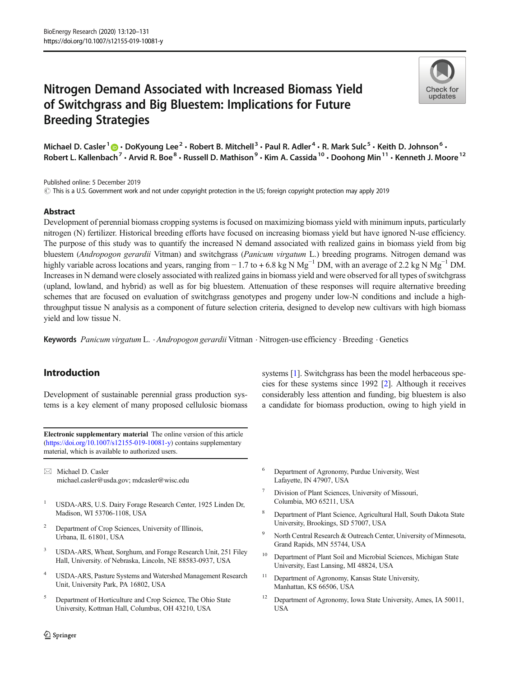## Nitrogen Demand Associated with Increased Biomass Yield of Switchgrass and Big Bluestem: Implications for Future Breeding Strategies



Michael D. Casler<sup>1</sup>  $\odot$  · DoKyoung Lee<sup>2</sup> · Robert B. Mitchell<sup>3</sup> · Paul R. Adler<sup>4</sup> · R. Mark Sulc<sup>5</sup> · Keith D. Johnson<sup>6</sup> · Robert L. Kallenbach<sup>7</sup> • Arvid R. Boe<sup>8</sup> • Russell D. Mathison<sup>9</sup> • Kim A. Cassida<sup>10</sup> • Doohong Min<sup>11</sup> • Kenneth J. Moore<sup>12</sup>

Published online: 5 December 2019

 $\odot$  This is a U.S. Government work and not under copyright protection in the US; foreign copyright protection may apply 2019

#### Abstract

Development of perennial biomass cropping systems is focused on maximizing biomass yield with minimum inputs, particularly nitrogen (N) fertilizer. Historical breeding efforts have focused on increasing biomass yield but have ignored N-use efficiency. The purpose of this study was to quantify the increased N demand associated with realized gains in biomass yield from big bluestem (Andropogon gerardii Vitman) and switchgrass (Panicum virgatum L.) breeding programs. Nitrogen demand was highly variable across locations and years, ranging from − 1.7 to + 6.8 kg N Mg<sup>-1</sup> DM, with an average of 2.2 kg N Mg<sup>-1</sup> DM. Increases in N demand were closely associated with realized gains in biomass yield and were observed for all types of switchgrass (upland, lowland, and hybrid) as well as for big bluestem. Attenuation of these responses will require alternative breeding schemes that are focused on evaluation of switchgrass genotypes and progeny under low-N conditions and include a highthroughput tissue N analysis as a component of future selection criteria, designed to develop new cultivars with high biomass yield and low tissue N.

Keywords Panicum virgatum L. · Andropogon gerardii Vitman · Nitrogen-use efficiency · Breeding · Genetics

### Introduction

Development of sustainable perennial grass production systems is a key element of many proposed cellulosic biomass

Electronic supplementary material The online version of this article ([https://doi.org/10.1007/s12155-019-10081-y\)](https://doi.org/10.1007/s12155-019-10081-y) contains supplementary material, which is available to authorized users.

 $\boxtimes$  Michael D. Casler [michael.casler@usda.gov](mailto:michael.casler@usda.gov); [mdcasler@wisc.edu](mailto:mdcasler@wisc.edu)

- <sup>1</sup> USDA-ARS, U.S. Dairy Forage Research Center, 1925 Linden Dr, Madison, WI 53706-1108, USA
- Department of Crop Sciences, University of Illinois, Urbana, IL 61801, USA
- <sup>3</sup> USDA-ARS, Wheat, Sorghum, and Forage Research Unit, 251 Filey Hall, University. of Nebraska, Lincoln, NE 88583-0937, USA
- <sup>4</sup> USDA-ARS, Pasture Systems and Watershed Management Research Unit, University Park, PA 16802, USA
- <sup>5</sup> Department of Horticulture and Crop Science, The Ohio State University, Kottman Hall, Columbus, OH 43210, USA

systems [\[1](#page-11-0)]. Switchgrass has been the model herbaceous species for these systems since 1992 [\[2](#page-11-0)]. Although it receives considerably less attention and funding, big bluestem is also a candidate for biomass production, owing to high yield in

- <sup>6</sup> Department of Agronomy, Purdue University, West Lafayette, IN 47907, USA
- Division of Plant Sciences, University of Missouri, Columbia, MO 65211, USA
- Department of Plant Science, Agricultural Hall, South Dakota State University, Brookings, SD 57007, USA
- <sup>9</sup> North Central Research & Outreach Center, University of Minnesota, Grand Rapids, MN 55744, USA
- <sup>10</sup> Department of Plant Soil and Microbial Sciences, Michigan State University, East Lansing, MI 48824, USA
- <sup>11</sup> Department of Agronomy, Kansas State University, Manhattan, KS 66506, USA
- <sup>12</sup> Department of Agronomy, Iowa State University, Ames, IA 50011, USA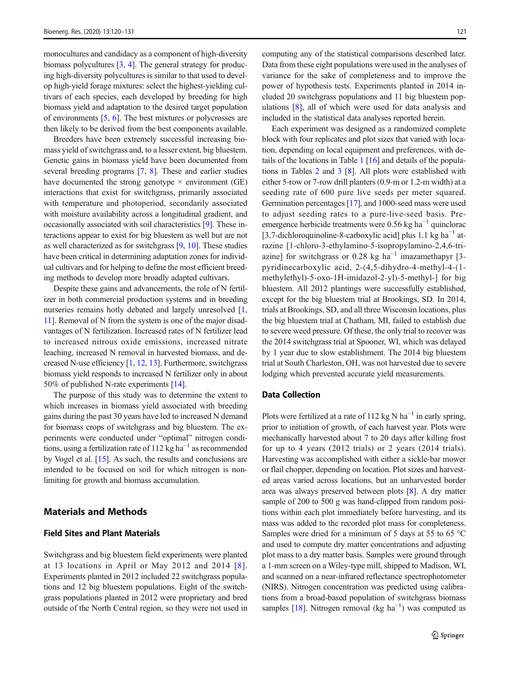monocultures and candidacy as a component of high-diversity biomass polycultures [\[3](#page-11-0), [4](#page-11-0)]. The general strategy for producing high-diversity polycultures is similar to that used to develop high-yield forage mixtures: select the highest-yielding cultivars of each species, each developed by breeding for high biomass yield and adaptation to the desired target population of environments [\[5,](#page-11-0) [6](#page-11-0)]. The best mixtures or polycrosses are then likely to be derived from the best components available.

Breeders have been extremely successful increasing biomass yield of switchgrass and, to a lesser extent, big bluestem. Genetic gains in biomass yield have been documented from several breeding programs [[7,](#page-11-0) [8\]](#page-11-0). These and earlier studies have documented the strong genotype  $\times$  environment (GE) interactions that exist for switchgrass, primarily associated with temperature and photoperiod, secondarily associated with moisture availability across a longitudinal gradient, and occasionally associated with soil characteristics [\[9\]](#page-12-0). These interactions appear to exist for big bluestem as well but are not as well characterized as for switchgrass [\[9,](#page-12-0) [10\]](#page-12-0). These studies have been critical in determining adaptation zones for individual cultivars and for helping to define the most efficient breeding methods to develop more broadly adapted cultivars.

Despite these gains and advancements, the role of N fertilizer in both commercial production systems and in breeding nurseries remains hotly debated and largely unresolved [[1,](#page-11-0) [11](#page-12-0)]. Removal of N from the system is one of the major disadvantages of N fertilization. Increased rates of N fertilizer lead to increased nitrous oxide emissions, increased nitrate leaching, increased N removal in harvested biomass, and decreased N-use efficiency [\[1](#page-11-0), [12,](#page-12-0) [13\]](#page-12-0). Furthermore, switchgrass biomass yield responds to increased N fertilizer only in about 50% of published N-rate experiments [[14\]](#page-12-0).

The purpose of this study was to determine the extent to which increases in biomass yield associated with breeding gains during the past 30 years have led to increased N demand for biomass crops of switchgrass and big bluestem. The experiments were conducted under "optimal" nitrogen conditions, using a fertilization rate of 112 kg ha<sup> $-1$ </sup> as recommended by Vogel et al. [\[15\]](#page-12-0). As such, the results and conclusions are intended to be focused on soil for which nitrogen is nonlimiting for growth and biomass accumulation.

#### Materials and Methods

#### Field Sites and Plant Materials

Switchgrass and big bluestem field experiments were planted at 13 locations in April or May 2012 and 2014 [[8\]](#page-11-0). Experiments planted in 2012 included 22 switchgrass populations and 12 big bluestem populations. Eight of the switchgrass populations planted in 2012 were proprietary and bred outside of the North Central region, so they were not used in computing any of the statistical comparisons described later. Data from these eight populations were used in the analyses of variance for the sake of completeness and to improve the power of hypothesis tests. Experiments planted in 2014 included 20 switchgrass populations and 11 big bluestem populations [[8\]](#page-11-0), all of which were used for data analysis and included in the statistical data analyses reported herein.

Each experiment was designed as a randomized complete block with four replicates and plot sizes that varied with location, depending on local equipment and preferences, with details of the locations in Table [1](#page-4-0) [[16](#page-12-0)] and details of the populations in Tables [2](#page-5-0) and [3](#page-6-0) [\[8\]](#page-11-0). All plots were established with either 5-row or 7-row drill planters (0.9-m or 1.2-m width) at a seeding rate of 600 pure live seeds per meter squared. Germination percentages [\[17\]](#page-12-0), and 1000-seed mass were used to adjust seeding rates to a pure-live-seed basis. Preemergence herbicide treatments were 0.56 kg ha<sup> $-1$ </sup> quinclorac [3,7-dichloroquinoline-8-carboxylic acid] plus 1.1 kg ha−<sup>1</sup> atrazine [1-chloro-3-ethylamino-5-isopropylamino-2,4,6-triazine] for switchgrass or 0.28 kg ha<sup> $-1$ </sup> imazamethapyr [3pyridinecarboxylic acid, 2-(4,5-dihydro-4-methyl-4-(1 methylethyl)-5-oxo-1H-imidazol-2-yl)-5-methyl-] for big bluestem. All 2012 plantings were successfully established, except for the big bluestem trial at Brookings, SD. In 2014, trials at Brookings, SD, and all three Wisconsin locations, plus the big bluestem trial at Chatham, MI, failed to establish due to severe weed pressure. Of these, the only trial to recover was the 2014 switchgrass trial at Spooner, WI, which was delayed by 1 year due to slow establishment. The 2014 big bluestem trial at South Charleston, OH, was not harvested due to severe lodging which prevented accurate yield measurements.

#### Data Collection

Plots were fertilized at a rate of 112 kg N ha<sup> $-1$ </sup> in early spring, prior to initiation of growth, of each harvest year. Plots were mechanically harvested about 7 to 20 days after killing frost for up to 4 years (2012 trials) or 2 years (2014 trials). Harvesting was accomplished with either a sickle-bar mower or flail chopper, depending on location. Plot sizes and harvested areas varied across locations, but an unharvested border area was always preserved between plots [\[8](#page-11-0)]. A dry matter sample of 200 to 500 g was hand-clipped from random positions within each plot immediately before harvesting, and its mass was added to the recorded plot mass for completeness. Samples were dried for a minimum of 5 days at 55 to 65 °C and used to compute dry matter concentrations and adjusting plot mass to a dry matter basis. Samples were ground through a 1-mm screen on a Wiley-type mill, shipped to Madison, WI, and scanned on a near-infrared reflectance spectrophotometer (NIRS). Nitrogen concentration was predicted using calibrations from a broad-based population of switchgrass biomass samples [[18\]](#page-12-0). Nitrogen removal (kg ha<sup>-1</sup>) was computed as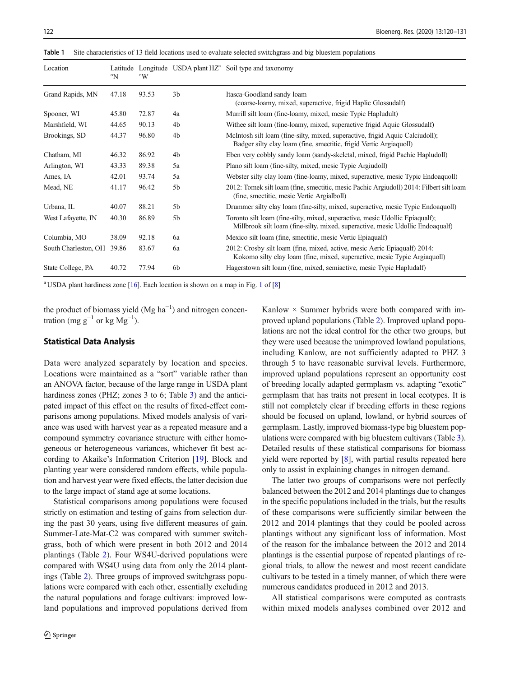<span id="page-4-0"></span>Table 1 Site characteristics of 13 field locations used to evaluate selected switchgrass and big bluestem populations

| Location                   | $\mathcal{N}$ | $\mathcal{O}(W)$ |                | Latitude Longitude USDA plant $HZ^a$ Soil type and taxonomy                                                                                                    |
|----------------------------|---------------|------------------|----------------|----------------------------------------------------------------------------------------------------------------------------------------------------------------|
| Grand Rapids, MN           | 47.18         | 93.53            | 3 <sub>b</sub> | Itasca-Goodland sandy loam<br>(coarse-loamy, mixed, superactive, frigid Haplic Glossudalf)                                                                     |
| Spooner, WI                | 45.80         | 72.87            | 4a             | Murrill silt loam (fine-loamy, mixed, mesic Typic Hapludult)                                                                                                   |
| Marshfield, WI             | 44.65         | 90.13            | 4 <sub>b</sub> | Withee silt loam (fine-loamy, mixed, superactive frigid Aquic Glossudalf)                                                                                      |
| Brookings, SD              | 44.37         | 96.80            | 4b             | McIntosh silt loam (fine-silty, mixed, superactive, frigid Aquic Calciudoll);<br>Badger silty clay loam (fine, smectitic, frigid Vertic Argiaquoll)            |
| Chatham, MI                | 46.32         | 86.92            | 4b             | Eben very cobbly sandy loam (sandy-skeletal, mixed, frigid Pachic Hapludoll)                                                                                   |
| Arlington, WI              | 43.33         | 89.38            | 5a             | Plano silt loam (fine-silty, mixed, mesic Typic Argiudoll)                                                                                                     |
| Ames, IA                   | 42.01         | 93.74            | 5a             | Webster silty clay loam (fine-loamy, mixed, superactive, mesic Typic Endoaquoll)                                                                               |
| Mead, NE                   | 41.17         | 96.42            | 5 <sub>b</sub> | 2012: Tomek silt loam (fine, smectitic, mesic Pachic Argiudoll) 2014: Filbert silt loam<br>(fine, smectitic, mesic Vertic Argialboll)                          |
| Urbana, IL                 | 40.07         | 88.21            | 5 <sub>b</sub> | Drummer silty clay loam (fine-silty, mixed, superactive, mesic Typic Endoaquoll)                                                                               |
| West Lafayette, IN         | 40.30         | 86.89            | 5 <sub>b</sub> | Toronto silt loam (fine-silty, mixed, superactive, mesic Udollic Epiaqualf);<br>Millbrook silt loam (fine-silty, mixed, superactive, mesic Udollic Endoaqualf) |
| Columbia, MO               | 38.09         | 92.18            | 6a             | Mexico silt loam (fine, smectitic, mesic Vertic Epiaqualf)                                                                                                     |
| South Charleston, OH 39.86 |               | 83.67            | 6a             | 2012: Crosby silt loam (fine, mixed, active, mesic Aeric Epiaqualf) 2014:<br>Kokomo silty clay loam (fine, mixed, superactive, mesic Typic Argiaquoll)         |
| State College, PA          | 40.72         | 77.94            | 6b             | Hagerstown silt loam (fine, mixed, semiactive, mesic Typic Hapludalf)                                                                                          |

<sup>a</sup> USDA plant hardiness zone [\[16](#page-12-0)]. Each location is shown on a map in Fig. [1](#page-8-0) of [[8\]](#page-11-0)

the product of biomass yield  $(Mg ha^{-1})$  and nitrogen concentration (mg  $g^{-1}$  or kg Mg<sup>-1</sup>).

#### Statistical Data Analysis

Data were analyzed separately by location and species. Locations were maintained as a "sort" variable rather than an ANOVA factor, because of the large range in USDA plant hardiness zones (PHZ; zones [3](#page-6-0) to 6; Table 3) and the anticipated impact of this effect on the results of fixed-effect comparisons among populations. Mixed models analysis of variance was used with harvest year as a repeated measure and a compound symmetry covariance structure with either homogeneous or heterogeneous variances, whichever fit best according to Akaike's Information Criterion [\[19\]](#page-12-0). Block and planting year were considered random effects, while population and harvest year were fixed effects, the latter decision due to the large impact of stand age at some locations.

Statistical comparisons among populations were focused strictly on estimation and testing of gains from selection during the past 30 years, using five different measures of gain. Summer-Late-Mat-C2 was compared with summer switchgrass, both of which were present in both 2012 and 2014 plantings (Table [2\)](#page-5-0). Four WS4U-derived populations were compared with WS4U using data from only the 2014 plantings (Table [2\)](#page-5-0). Three groups of improved switchgrass populations were compared with each other, essentially excluding the natural populations and forage cultivars: improved lowland populations and improved populations derived from Kanlow  $\times$  Summer hybrids were both compared with improved upland populations (Table [2](#page-5-0)). Improved upland populations are not the ideal control for the other two groups, but they were used because the unimproved lowland populations, including Kanlow, are not sufficiently adapted to PHZ 3 through 5 to have reasonable survival levels. Furthermore, improved upland populations represent an opportunity cost of breeding locally adapted germplasm vs. adapting "exotic" germplasm that has traits not present in local ecotypes. It is still not completely clear if breeding efforts in these regions should be focused on upland, lowland, or hybrid sources of germplasm. Lastly, improved biomass-type big bluestem populations were compared with big bluestem cultivars (Table [3\)](#page-6-0). Detailed results of these statistical comparisons for biomass yield were reported by [\[8\]](#page-11-0), with partial results repeated here only to assist in explaining changes in nitrogen demand.

The latter two groups of comparisons were not perfectly balanced between the 2012 and 2014 plantings due to changes in the specific populations included in the trials, but the results of these comparisons were sufficiently similar between the 2012 and 2014 plantings that they could be pooled across plantings without any significant loss of information. Most of the reason for the imbalance between the 2012 and 2014 plantings is the essential purpose of repeated plantings of regional trials, to allow the newest and most recent candidate cultivars to be tested in a timely manner, of which there were numerous candidates produced in 2012 and 2013.

All statistical comparisons were computed as contrasts within mixed models analyses combined over 2012 and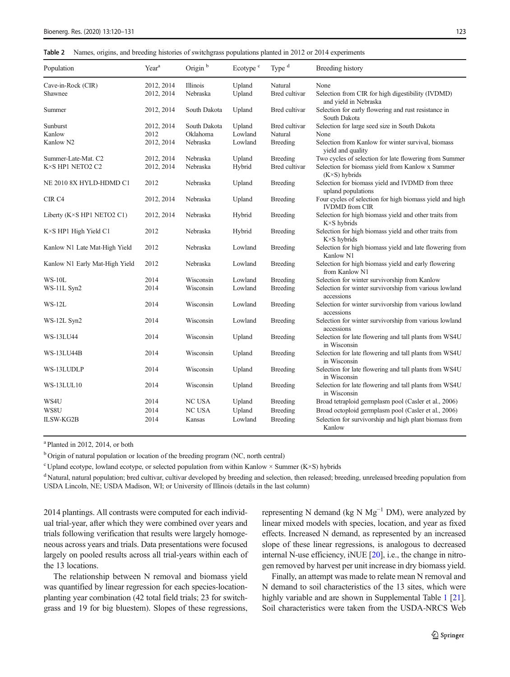<span id="page-5-0"></span>Table 2 Names, origins, and breeding histories of switchgrass populations planted in 2012 or 2014 experiments

| Population                     | Year <sup>a</sup> | Origin <sup>b</sup> | Ecotype <sup>c</sup> | Type <sup>d</sup>    | Breeding history                                                                  |
|--------------------------------|-------------------|---------------------|----------------------|----------------------|-----------------------------------------------------------------------------------|
| Cave-in-Rock (CIR)             | 2012, 2014        | Illinois            | Upland               | Natural              | None                                                                              |
| Shawnee                        | 2012, 2014        | Nebraska            | Upland               | Bred cultivar        | Selection from CIR for high digestibility (IVDMD)<br>and yield in Nebraska        |
| Summer                         | 2012, 2014        | South Dakota        | Upland               | Bred cultivar        | Selection for early flowering and rust resistance in<br>South Dakota              |
| Sunburst                       | 2012, 2014        | South Dakota        | Upland               | <b>Bred cultivar</b> | Selection for large seed size in South Dakota                                     |
| Kanlow                         | 2012              | Oklahoma            | Lowland              | Natural              | None                                                                              |
| Kanlow N2                      | 2012, 2014        | Nebraska            | Lowland              | Breeding             | Selection from Kanlow for winter survival, biomass<br>yield and quality           |
| Summer-Late-Mat. C2            | 2012, 2014        | Nebraska            | Upland               | <b>Breeding</b>      | Two cycles of selection for late flowering from Summer                            |
| K×S HP1 NETO2 C2               | 2012, 2014        | Nebraska            | Hybrid               | Bred cultivar        | Selection for biomass yield from Kanlow x Summer<br>(K×S) hybrids                 |
| NE 2010 8X HYLD-HDMD C1        | 2012              | Nebraska            | Upland               | <b>Breeding</b>      | Selection for biomass yield and IVDMD from three<br>upland populations            |
| CIR <sub>C4</sub>              | 2012, 2014        | Nebraska            | Upland               | <b>Breeding</b>      | Four cycles of selection for high biomass yield and high<br><b>IVDMD</b> from CIR |
| Liberty (K×S HP1 NETO2 C1)     | 2012, 2014        | Nebraska            | Hybrid               | Breeding             | Selection for high biomass yield and other traits from<br>K×S hybrids             |
| K×S HP1 High Yield C1          | 2012              | Nebraska            | Hybrid               | <b>Breeding</b>      | Selection for high biomass yield and other traits from<br>K×S hybrids             |
| Kanlow N1 Late Mat-High Yield  | 2012              | Nebraska            | Lowland              | <b>Breeding</b>      | Selection for high biomass yield and late flowering from<br>Kanlow N1             |
| Kanlow N1 Early Mat-High Yield | 2012              | Nebraska            | Lowland              | <b>Breeding</b>      | Selection for high biomass yield and early flowering<br>from Kanlow N1            |
| $WS-10L$                       | 2014              | Wisconsin           | Lowland              | <b>Breeding</b>      | Selection for winter survivorship from Kanlow                                     |
| WS-11L Syn2                    | 2014              | Wisconsin           | Lowland              | <b>Breeding</b>      | Selection for winter survivorship from various lowland<br>accessions              |
| $WS-12L$                       | 2014              | Wisconsin           | Lowland              | <b>Breeding</b>      | Selection for winter survivorship from various lowland<br>accessions              |
| WS-12L Syn2                    | 2014              | Wisconsin           | Lowland              | Breeding             | Selection for winter survivorship from various lowland<br>accessions              |
| <b>WS-13LU44</b>               | 2014              | Wisconsin           | Upland               | <b>Breeding</b>      | Selection for late flowering and tall plants from WS4U<br>in Wisconsin            |
| WS-13LU44B                     | 2014              | Wisconsin           | Upland               | Breeding             | Selection for late flowering and tall plants from WS4U<br>in Wisconsin            |
| WS-13LUDLP                     | 2014              | Wisconsin           | Upland               | <b>Breeding</b>      | Selection for late flowering and tall plants from WS4U<br>in Wisconsin            |
| WS-13LUL10                     | 2014              | Wisconsin           | Upland               | Breeding             | Selection for late flowering and tall plants from WS4U<br>in Wisconsin            |
| WS4U                           | 2014              | <b>NC USA</b>       | Upland               | <b>Breeding</b>      | Broad tetraploid germplasm pool (Casler et al., 2006)                             |
| WS8U                           | 2014              | <b>NC USA</b>       | Upland               | Breeding             | Broad octoploid germplasm pool (Casler et al., 2006)                              |
| <b>ILSW-KG2B</b>               | 2014              | Kansas              | Lowland              | <b>Breeding</b>      | Selection for survivorship and high plant biomass from<br>Kanlow                  |

a Planted in 2012, 2014, or both

<sup>b</sup> Origin of natural population or location of the breeding program (NC, north central)

<sup>c</sup> Upland ecotype, lowland ecotype, or selected population from within Kanlow × Summer (K×S) hybrids

<sup>d</sup> Natural, natural population; bred cultivar, cultivar developed by breeding and selection, then released; breeding, unreleased breeding population from USDA Lincoln, NE; USDA Madison, WI; or University of Illinois (details in the last column)

2014 plantings. All contrasts were computed for each individual trial-year, after which they were combined over years and trials following verification that results were largely homogeneous across years and trials. Data presentations were focused largely on pooled results across all trial-years within each of the 13 locations.

The relationship between N removal and biomass yield was quantified by linear regression for each species-locationplanting year combination (42 total field trials; 23 for switchgrass and 19 for big bluestem). Slopes of these regressions, representing N demand (kg N  $Mg^{-1}$  DM), were analyzed by linear mixed models with species, location, and year as fixed effects. Increased N demand, as represented by an increased slope of these linear regressions, is analogous to decreased internal N-use efficiency, iNUE [\[20](#page-12-0)], i.e., the change in nitrogen removed by harvest per unit increase in dry biomass yield.

Finally, an attempt was made to relate mean N removal and N demand to soil characteristics of the 13 sites, which were highly variable and are shown in Supplemental Table 1 [[21\]](#page-12-0). Soil characteristics were taken from the USDA-NRCS Web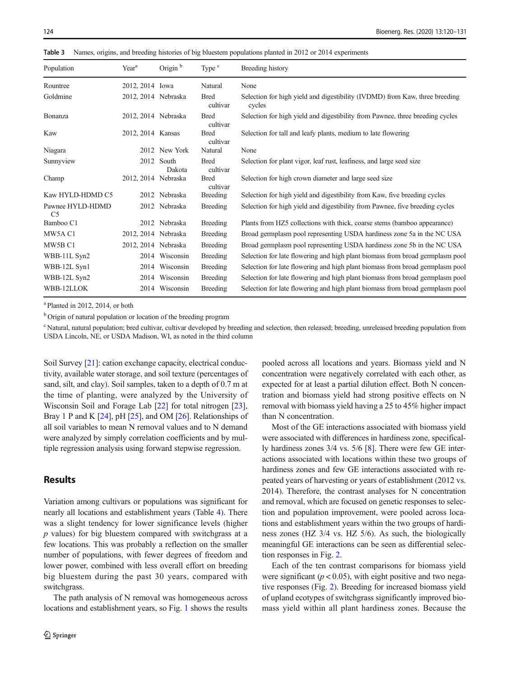<span id="page-6-0"></span>Table 3 Names, origins, and breeding histories of big bluestem populations planted in 2012 or 2014 experiments

| Population                         | Year <sup>a</sup>   | Origin <sup>b</sup>  | Type <sup>c</sup>       | Breeding history                                                                      |
|------------------------------------|---------------------|----------------------|-------------------------|---------------------------------------------------------------------------------------|
| Rountree                           | 2012, 2014 Iowa     |                      | Natural                 | None                                                                                  |
| Goldmine                           | 2012, 2014 Nebraska |                      | <b>Bred</b><br>cultivar | Selection for high yield and digestibility (IVDMD) from Kaw, three breeding<br>cycles |
| Bonanza                            | 2012, 2014 Nebraska |                      | <b>Bred</b><br>cultivar | Selection for high yield and digestibility from Pawnee, three breeding cycles         |
| Kaw                                | 2012, 2014 Kansas   |                      | <b>Bred</b><br>cultivar | Selection for tall and leafy plants, medium to late flowering                         |
| Niagara                            |                     | 2012 New York        | Natural                 | None                                                                                  |
| Sunnyview                          |                     | 2012 South<br>Dakota | <b>Bred</b><br>cultivar | Selection for plant vigor, leaf rust, leafiness, and large seed size                  |
| Champ                              | 2012, 2014 Nebraska |                      | <b>Bred</b><br>cultivar | Selection for high crown diameter and large seed size                                 |
| Kaw HYLD-HDMD C5                   |                     | 2012 Nebraska        | <b>Breeding</b>         | Selection for high yield and digestibility from Kaw, five breeding cycles             |
| Pawnee HYLD-HDMD<br>C <sub>5</sub> |                     | 2012 Nebraska        | Breeding                | Selection for high yield and digestibility from Pawnee, five breeding cycles          |
| Bamboo C1                          |                     | 2012 Nebraska        | <b>Breeding</b>         | Plants from HZ5 collections with thick, coarse stems (bamboo appearance)              |
| MW5A C1                            | 2012, 2014 Nebraska |                      | <b>Breeding</b>         | Broad germplasm pool representing USDA hardiness zone 5a in the NC USA                |
| MW5B C1                            | 2012, 2014 Nebraska |                      | <b>Breeding</b>         | Broad germplasm pool representing USDA hardiness zone 5b in the NC USA                |
| WBB-11L Syn2                       |                     | 2014 Wisconsin       | Breeding                | Selection for late flowering and high plant biomass from broad germplasm pool         |
| WBB-12L Syn1                       |                     | 2014 Wisconsin       | <b>Breeding</b>         | Selection for late flowering and high plant biomass from broad germplasm pool         |
| WBB-12L Syn2                       |                     | 2014 Wisconsin       | Breeding                | Selection for late flowering and high plant biomass from broad germplasm pool         |
| WBB-12LLOK                         |                     | 2014 Wisconsin       | Breeding                | Selection for late flowering and high plant biomass from broad germplasm pool         |

a Planted in 2012, 2014, or both

<sup>b</sup> Origin of natural population or location of the breeding program

<sup>c</sup> Natural, natural population; bred cultivar, cultivar developed by breeding and selection, then released; breeding, unreleased breeding population from USDA Lincoln, NE, or USDA Madison, WI, as noted in the third column

Soil Survey [[21\]](#page-12-0): cation exchange capacity, electrical conductivity, available water storage, and soil texture (percentages of sand, silt, and clay). Soil samples, taken to a depth of 0.7 m at the time of planting, were analyzed by the University of Wisconsin Soil and Forage Lab [[22](#page-12-0)] for total nitrogen [[23\]](#page-12-0), Bray 1 P and K  $[24]$ , pH  $[25]$  $[25]$ , and OM  $[26]$ . Relationships of all soil variables to mean N removal values and to N demand were analyzed by simply correlation coefficients and by multiple regression analysis using forward stepwise regression.

#### Results

Variation among cultivars or populations was significant for nearly all locations and establishment years (Table [4\)](#page-7-0). There was a slight tendency for lower significance levels (higher  $p$  values) for big bluestem compared with switchgrass at a few locations. This was probably a reflection on the smaller number of populations, with fewer degrees of freedom and lower power, combined with less overall effort on breeding big bluestem during the past 30 years, compared with switchgrass.

The path analysis of N removal was homogeneous across locations and establishment years, so Fig. [1](#page-8-0) shows the results pooled across all locations and years. Biomass yield and N concentration were negatively correlated with each other, as expected for at least a partial dilution effect. Both N concentration and biomass yield had strong positive effects on N removal with biomass yield having a 25 to 45% higher impact than N concentration.

Most of the GE interactions associated with biomass yield were associated with differences in hardiness zone, specifically hardiness zones 3/4 vs. 5/6 [\[8](#page-11-0)]. There were few GE interactions associated with locations within these two groups of hardiness zones and few GE interactions associated with repeated years of harvesting or years of establishment (2012 vs. 2014). Therefore, the contrast analyses for N concentration and removal, which are focused on genetic responses to selection and population improvement, were pooled across locations and establishment years within the two groups of hardiness zones (HZ 3/4 vs. HZ 5/6). As such, the biologically meaningful GE interactions can be seen as differential selection responses in Fig. [2](#page-8-0).

Each of the ten contrast comparisons for biomass yield were significant  $(p < 0.05)$ , with eight positive and two negative responses (Fig. [2](#page-8-0)). Breeding for increased biomass yield of upland ecotypes of switchgrass significantly improved biomass yield within all plant hardiness zones. Because the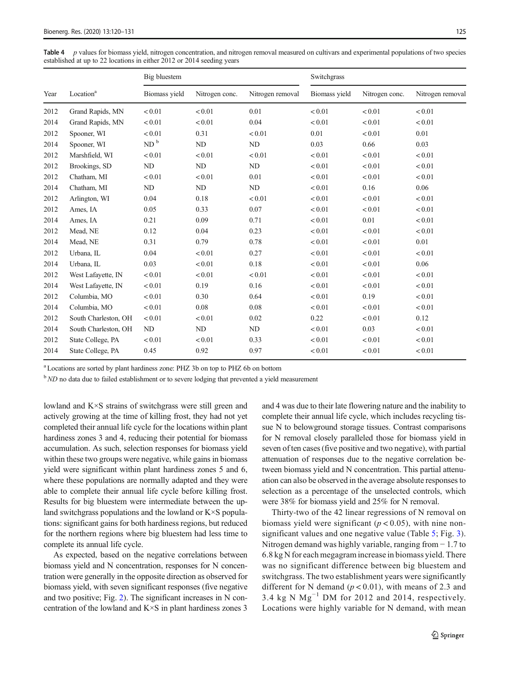<span id="page-7-0"></span>Table 4 p values for biomass yield, nitrogen concentration, and nitrogen removal measured on cultivars and experimental populations of two species established at up to 22 locations in either 2012 or 2014 seeding years

|      |                       | Big bluestem    |                |                  | Switchgrass   |                |                  |  |
|------|-----------------------|-----------------|----------------|------------------|---------------|----------------|------------------|--|
| Year | Location <sup>a</sup> | Biomass yield   | Nitrogen conc. | Nitrogen removal | Biomass yield | Nitrogen conc. | Nitrogen removal |  |
| 2012 | Grand Rapids, MN      | < 0.01          | < 0.01         | 0.01             | < 0.01        | < 0.01         | < 0.01           |  |
| 2014 | Grand Rapids, MN      | < 0.01          | < 0.01         | 0.04             | < 0.01        | < 0.01         | < 0.01           |  |
| 2012 | Spooner, WI           | < 0.01          | 0.31           | < 0.01           | 0.01          | < 0.01         | 0.01             |  |
| 2014 | Spooner, WI           | ND <sup>b</sup> | ND             | <b>ND</b>        | 0.03          | 0.66           | 0.03             |  |
| 2012 | Marshfield, WI        | < 0.01          | < 0.01         | < 0.01           | < 0.01        | < 0.01         | < 0.01           |  |
| 2012 | Brookings, SD         | <b>ND</b>       | ND             | <b>ND</b>        | < 0.01        | < 0.01         | < 0.01           |  |
| 2012 | Chatham, MI           | < 0.01          | < 0.01         | 0.01             | < 0.01        | < 0.01         | < 0.01           |  |
| 2014 | Chatham, MI           | ND              | ND             | <b>ND</b>        | < 0.01        | 0.16           | 0.06             |  |
| 2012 | Arlington, WI         | 0.04            | 0.18           | < 0.01           | < 0.01        | < 0.01         | < 0.01           |  |
| 2012 | Ames, IA              | 0.05            | 0.33           | 0.07             | < 0.01        | < 0.01         | < 0.01           |  |
| 2014 | Ames, IA              | 0.21            | 0.09           | 0.71             | < 0.01        | 0.01           | < 0.01           |  |
| 2012 | Mead, NE              | 0.12            | 0.04           | 0.23             | < 0.01        | < 0.01         | < 0.01           |  |
| 2014 | Mead, NE              | 0.31            | 0.79           | 0.78             | < 0.01        | < 0.01         | 0.01             |  |
| 2012 | Urbana, IL            | 0.04            | < 0.01         | 0.27             | < 0.01        | < 0.01         | < 0.01           |  |
| 2014 | Urbana, IL            | 0.03            | < 0.01         | 0.18             | < 0.01        | < 0.01         | 0.06             |  |
| 2012 | West Lafayette, IN    | < 0.01          | < 0.01         | < 0.01           | < 0.01        | < 0.01         | < 0.01           |  |
| 2014 | West Lafayette, IN    | < 0.01          | 0.19           | 0.16             | < 0.01        | < 0.01         | < 0.01           |  |
| 2012 | Columbia, MO          | < 0.01          | 0.30           | 0.64             | < 0.01        | 0.19           | < 0.01           |  |
| 2014 | Columbia, MO          | < 0.01          | 0.08           | 0.08             | < 0.01        | < 0.01         | < 0.01           |  |
| 2012 | South Charleston, OH  | < 0.01          | < 0.01         | 0.02             | 0.22          | < 0.01         | 0.12             |  |
| 2014 | South Charleston, OH  | ND              | ND             | ND               | < 0.01        | 0.03           | < 0.01           |  |
| 2012 | State College, PA     | < 0.01          | < 0.01         | 0.33             | < 0.01        | < 0.01         | < 0.01           |  |
| 2014 | State College, PA     | 0.45            | 0.92           | 0.97             | < 0.01        | < 0.01         | < 0.01           |  |

<sup>a</sup> Locations are sorted by plant hardiness zone: PHZ 3b on top to PHZ 6b on bottom

 $b$ <sub>ND</sub> no data due to failed establishment or to severe lodging that prevented a yield measurement

lowland and K×S strains of switchgrass were still green and actively growing at the time of killing frost, they had not yet completed their annual life cycle for the locations within plant hardiness zones 3 and 4, reducing their potential for biomass accumulation. As such, selection responses for biomass yield within these two groups were negative, while gains in biomass yield were significant within plant hardiness zones 5 and 6, where these populations are normally adapted and they were able to complete their annual life cycle before killing frost. Results for big bluestem were intermediate between the upland switchgrass populations and the lowland or K×S populations: significant gains for both hardiness regions, but reduced for the northern regions where big bluestem had less time to complete its annual life cycle.

As expected, based on the negative correlations between biomass yield and N concentration, responses for N concentration were generally in the opposite direction as observed for biomass yield, with seven significant responses (five negative and two positive; Fig. [2](#page-8-0)). The significant increases in N concentration of the lowland and K×S in plant hardiness zones 3 and 4 was due to their late flowering nature and the inability to complete their annual life cycle, which includes recycling tissue N to belowground storage tissues. Contrast comparisons for N removal closely paralleled those for biomass yield in seven of ten cases (five positive and two negative), with partial attenuation of responses due to the negative correlation between biomass yield and N concentration. This partial attenuation can also be observed in the average absolute responses to selection as a percentage of the unselected controls, which were 38% for biomass yield and 25% for N removal.

Thirty-two of the 42 linear regressions of N removal on biomass yield were significant ( $p < 0.05$ ), with nine non-significant values and one negative value (Table [5](#page-9-0); Fig. [3](#page-9-0)). Nitrogen demand was highly variable, ranging from − 1.7 to 6.8 kg N for each megagram increase in biomass yield. There was no significant difference between big bluestem and switchgrass. The two establishment years were significantly different for N demand ( $p < 0.01$ ), with means of 2.3 and 3.4 kg N  $Mg^{-1}$  DM for 2012 and 2014, respectively. Locations were highly variable for N demand, with mean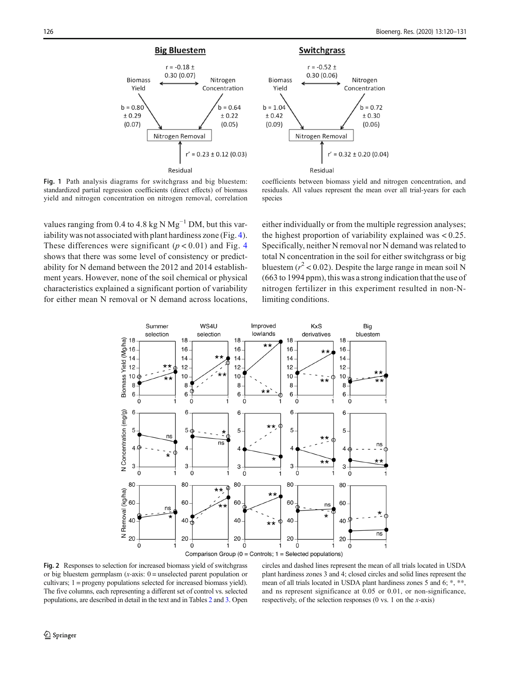<span id="page-8-0"></span>



Fig. 1 Path analysis diagrams for switchgrass and big bluestem: standardized partial regression coefficients (direct effects) of biomass yield and nitrogen concentration on nitrogen removal, correlation

values ranging from 0.4 to 4.8 kg N  $Mg^{-1}$  DM, but this variability was not associated with plant hardiness zone (Fig. [4](#page-10-0)). These differences were significant  $(p < 0.01)$  and Fig. [4](#page-10-0) shows that there was some level of consistency or predictability for N demand between the 2012 and 2014 establishment years. However, none of the soil chemical or physical characteristics explained a significant portion of variability for either mean N removal or N demand across locations,

coefficients between biomass yield and nitrogen concentration, and residuals. All values represent the mean over all trial-years for each species

either individually or from the multiple regression analyses; the highest proportion of variability explained was < 0.25. Specifically, neither N removal nor N demand was related to total N concentration in the soil for either switchgrass or big bluestem ( $r^2$  < 0.02). Despite the large range in mean soil N (663 to 1994 ppm), this was a strong indication that the use of nitrogen fertilizer in this experiment resulted in non-Nlimiting conditions.



Fig. 2 Responses to selection for increased biomass yield of switchgrass or big bluestem germplasm  $(x-axis: 0)$  = unselected parent population or cultivars; 1 = progeny populations selected for increased biomass yield). The five columns, each representing a different set of control vs. selected populations, are described in detail in the text and in Tables [2](#page-5-0) and [3](#page-6-0). Open

circles and dashed lines represent the mean of all trials located in USDA plant hardiness zones 3 and 4; closed circles and solid lines represent the mean of all trials located in USDA plant hardiness zones 5 and 6; \*, \*\*, and ns represent significance at 0.05 or 0.01, or non-significance, respectively, of the selection responses  $(0 \text{ vs. } 1 \text{ on the } x\text{-axis})$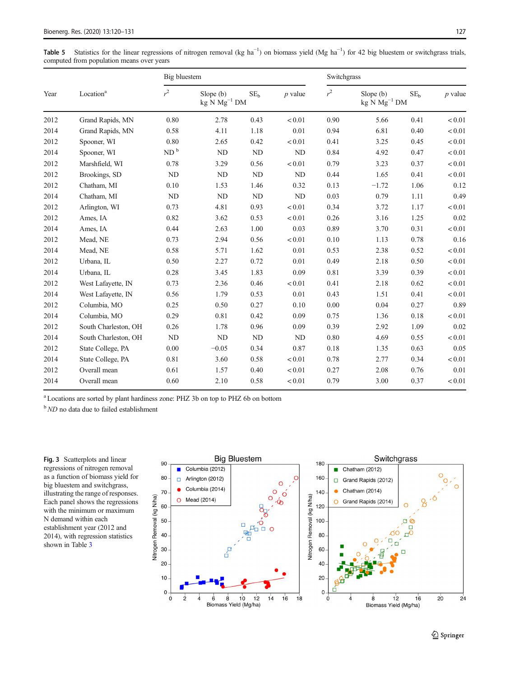<span id="page-9-0"></span>**Table 5** Statistics for the linear regressions of nitrogen removal (kg ha<sup>-1</sup>) on biomass yield (Mg ha<sup>-1</sup>) for 42 big bluestem or switchgrass trials, computed from population means over years

|      |                       | Big bluestem    |                                                   | Switchgrass     |           |                |                                  |                 |           |
|------|-----------------------|-----------------|---------------------------------------------------|-----------------|-----------|----------------|----------------------------------|-----------------|-----------|
| Year | Location <sup>a</sup> | $r^2$           | Slope $(b)$<br>$kg \overset{\cdot}{N} Mg^{-1}$ DM | SE <sub>b</sub> | $p$ value | r <sup>2</sup> | Slope (b)<br>$kg$ N $Mg^{-1}$ DM | SE <sub>h</sub> | $p$ value |
| 2012 | Grand Rapids, MN      | 0.80            | 2.78                                              | 0.43            | $< 0.01$  | 0.90           | 5.66                             | 0.41            | < 0.01    |
| 2014 | Grand Rapids, MN      | 0.58            | 4.11                                              | 1.18            | 0.01      | 0.94           | 6.81                             | 0.40            | < 0.01    |
| 2012 | Spooner, WI           | 0.80            | 2.65                                              | 0.42            | < 0.01    | 0.41           | 3.25                             | 0.45            | < 0.01    |
| 2014 | Spooner, WI           | ND <sup>b</sup> | ND                                                | <b>ND</b>       | <b>ND</b> | 0.84           | 4.92                             | 0.47            | < 0.01    |
| 2012 | Marshfield, WI        | 0.78            | 3.29                                              | 0.56            | < 0.01    | 0.79           | 3.23                             | 0.37            | < 0.01    |
| 2012 | Brookings, SD         | ND              | ND                                                | <b>ND</b>       | ND        | 0.44           | 1.65                             | 0.41            | < 0.01    |
| 2012 | Chatham, MI           | 0.10            | 1.53                                              | 1.46            | 0.32      | 0.13           | $-1.72$                          | 1.06            | 0.12      |
| 2014 | Chatham, MI           | ND              | ND                                                | <b>ND</b>       | ND        | 0.03           | 0.79                             | 1.11            | 0.49      |
| 2012 | Arlington, WI         | 0.73            | 4.81                                              | 0.93            | < 0.01    | 0.34           | 3.72                             | 1.17            | < 0.01    |
| 2012 | Ames, IA              | 0.82            | 3.62                                              | 0.53            | < 0.01    | 0.26           | 3.16                             | 1.25            | 0.02      |
| 2014 | Ames, IA              | 0.44            | 2.63                                              | 1.00            | 0.03      | 0.89           | 3.70                             | 0.31            | < 0.01    |
| 2012 | Mead, NE              | 0.73            | 2.94                                              | 0.56            | < 0.01    | 0.10           | 1.13                             | 0.78            | 0.16      |
| 2014 | Mead, NE              | 0.58            | 5.71                                              | 1.62            | 0.01      | 0.53           | 2.38                             | 0.52            | < 0.01    |
| 2012 | Urbana, IL            | 0.50            | 2.27                                              | 0.72            | 0.01      | 0.49           | 2.18                             | 0.50            | < 0.01    |
| 2014 | Urbana, IL            | 0.28            | 3.45                                              | 1.83            | 0.09      | 0.81           | 3.39                             | 0.39            | < 0.01    |
| 2012 | West Lafayette, IN    | 0.73            | 2.36                                              | 0.46            | < 0.01    | 0.41           | 2.18                             | 0.62            | < 0.01    |
| 2014 | West Lafayette, IN    | 0.56            | 1.79                                              | 0.53            | 0.01      | 0.43           | 1.51                             | 0.41            | < 0.01    |
| 2012 | Columbia, MO          | 0.25            | 0.50                                              | 0.27            | 0.10      | 0.00           | 0.04                             | 0.27            | 0.89      |
| 2014 | Columbia, MO          | 0.29            | 0.81                                              | 0.42            | 0.09      | 0.75           | 1.36                             | 0.18            | < 0.01    |
| 2012 | South Charleston, OH  | 0.26            | 1.78                                              | 0.96            | 0.09      | 0.39           | 2.92                             | 1.09            | 0.02      |
| 2014 | South Charleston, OH  | ND              | ND                                                | <b>ND</b>       | ND        | 0.80           | 4.69                             | 0.55            | < 0.01    |
| 2012 | State College, PA     | 0.00            | $-0.05$                                           | 0.34            | 0.87      | 0.18           | 1.35                             | 0.63            | 0.05      |
| 2014 | State College, PA     | 0.81            | 3.60                                              | 0.58            | < 0.01    | 0.78           | 2.77                             | 0.34            | < 0.01    |
| 2012 | Overall mean          | 0.61            | 1.57                                              | 0.40            | < 0.01    | 0.27           | 2.08                             | 0.76            | 0.01      |
| 2014 | Overall mean          | 0.60            | 2.10                                              | 0.58            | < 0.01    | 0.79           | 3.00                             | 0.37            | < 0.01    |

<sup>a</sup> Locations are sorted by plant hardiness zone: PHZ 3b on top to PHZ 6b on bottom

 $b$  ND no data due to failed establishment

Fig. 3 Scatterplots and linear regressions of nitrogen removal as a function of biomass yield for big bluestem and switchgrass, illustrating the range of responses. Each panel shows the regressions with the minimum or maximum N demand within each establishment year (2012 and 2014), with regression statistics shown in Table [3](#page-6-0)

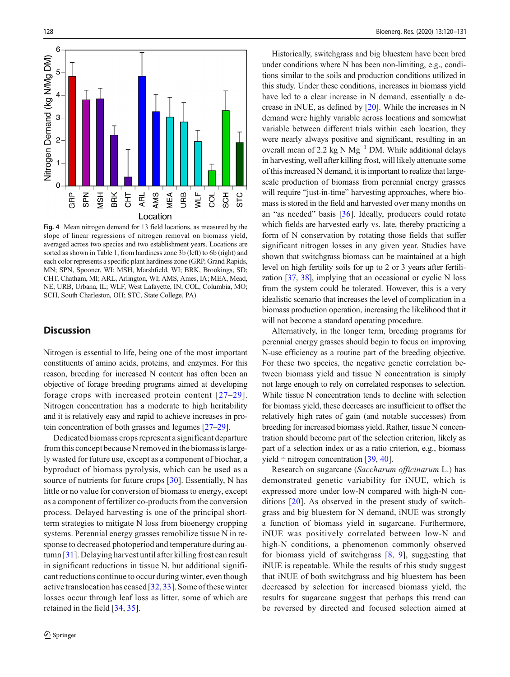<span id="page-10-0"></span>

Fig. 4 Mean nitrogen demand for 13 field locations, as measured by the slope of linear regressions of nitrogen removal on biomass yield, averaged across two species and two establishment years. Locations are sorted as shown in Table [1](#page-4-0), from hardiness zone 3b (left) to 6b (right) and each color represents a specific plant hardiness zone (GRP, Grand Rapids, MN; SPN, Spooner, WI; MSH, Marshfield, WI; BRK, Brookings, SD; CHT, Chatham, MI; ARL, Arlington, WI; AMS, Ames, IA; MEA, Mead, NE; URB, Urbana, IL; WLF, West Lafayette, IN; COL, Columbia, MO; SCH, South Charleston, OH; STC, State College, PA)

#### **Discussion**

Nitrogen is essential to life, being one of the most important constituents of amino acids, proteins, and enzymes. For this reason, breeding for increased N content has often been an objective of forage breeding programs aimed at developing forage crops with increased protein content [[27](#page-12-0)–[29\]](#page-12-0). Nitrogen concentration has a moderate to high heritability and it is relatively easy and rapid to achieve increases in protein concentration of both grasses and legumes [\[27](#page-12-0)–[29\]](#page-12-0).

Dedicated biomass crops represent a significant departure from this concept because N removed in the biomass is largely wasted for future use, except as a component of biochar, a byproduct of biomass pyrolysis, which can be used as a source of nutrients for future crops [\[30](#page-12-0)]. Essentially, N has little or no value for conversion of biomass to energy, except as a component of fertilizer co-products from the conversion process. Delayed harvesting is one of the principal shortterm strategies to mitigate N loss from bioenergy cropping systems. Perennial energy grasses remobilize tissue N in response to decreased photoperiod and temperature during autumn [[31\]](#page-12-0). Delaying harvest until after killing frost can result in significant reductions in tissue N, but additional significant reductions continue to occur during winter, even though active translocation has ceased  $[32, 33]$  $[32, 33]$  $[32, 33]$  $[32, 33]$ . Some of these winter losses occur through leaf loss as litter, some of which are retained in the field [[34,](#page-12-0) [35\]](#page-12-0).

Historically, switchgrass and big bluestem have been bred under conditions where N has been non-limiting, e.g., conditions similar to the soils and production conditions utilized in this study. Under these conditions, increases in biomass yield have led to a clear increase in N demand, essentially a decrease in iNUE, as defined by [[20](#page-12-0)]. While the increases in N demand were highly variable across locations and somewhat variable between different trials within each location, they were nearly always positive and significant, resulting in an overall mean of 2.2 kg N  $Mg^{-1}$  DM. While additional delays in harvesting, well after killing frost, will likely attenuate some of this increased N demand, it is important to realize that largescale production of biomass from perennial energy grasses will require "just-in-time" harvesting approaches, where biomass is stored in the field and harvested over many months on an "as needed" basis [\[36\]](#page-12-0). Ideally, producers could rotate which fields are harvested early vs. late, thereby practicing a form of N conservation by rotating those fields that suffer significant nitrogen losses in any given year. Studies have shown that switchgrass biomass can be maintained at a high level on high fertility soils for up to 2 or 3 years after fertilization [\[37,](#page-12-0) [38](#page-12-0)], implying that an occasional or cyclic N loss from the system could be tolerated. However, this is a very idealistic scenario that increases the level of complication in a biomass production operation, increasing the likelihood that it will not become a standard operating procedure.

Alternatively, in the longer term, breeding programs for perennial energy grasses should begin to focus on improving N-use efficiency as a routine part of the breeding objective. For these two species, the negative genetic correlation between biomass yield and tissue N concentration is simply not large enough to rely on correlated responses to selection. While tissue N concentration tends to decline with selection for biomass yield, these decreases are insufficient to offset the relatively high rates of gain (and notable successes) from breeding for increased biomass yield. Rather, tissue N concentration should become part of the selection criterion, likely as part of a selection index or as a ratio criterion, e.g., biomass yield  $\div$  nitrogen concentration [\[39,](#page-12-0) [40\]](#page-12-0).

Research on sugarcane (Saccharum officinarum L.) has demonstrated genetic variability for iNUE, which is expressed more under low-N compared with high-N conditions [[20](#page-12-0)]. As observed in the present study of switchgrass and big bluestem for N demand, iNUE was strongly a function of biomass yield in sugarcane. Furthermore, iNUE was positively correlated between low-N and high-N conditions, a phenomenon commonly observed for biomass yield of switchgrass  $[8, 9]$  $[8, 9]$  $[8, 9]$ , suggesting that iNUE is repeatable. While the results of this study suggest that iNUE of both switchgrass and big bluestem has been decreased by selection for increased biomass yield, the results for sugarcane suggest that perhaps this trend can be reversed by directed and focused selection aimed at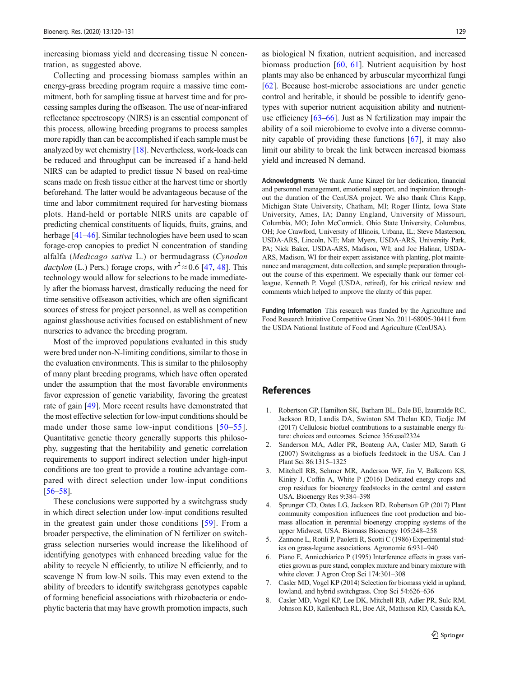<span id="page-11-0"></span>increasing biomass yield and decreasing tissue N concentration, as suggested above.

Collecting and processing biomass samples within an energy-grass breeding program require a massive time commitment, both for sampling tissue at harvest time and for processing samples during the offseason. The use of near-infrared reflectance spectroscopy (NIRS) is an essential component of this process, allowing breeding programs to process samples more rapidly than can be accomplished if each sample must be analyzed by wet chemistry [\[18](#page-12-0)]. Nevertheless, work-loads can be reduced and throughput can be increased if a hand-held NIRS can be adapted to predict tissue N based on real-time scans made on fresh tissue either at the harvest time or shortly beforehand. The latter would be advantageous because of the time and labor commitment required for harvesting biomass plots. Hand-held or portable NIRS units are capable of predicting chemical constituents of liquids, fruits, grains, and herbage [\[41](#page-12-0)–[46](#page-12-0)]. Similar technologies have been used to scan forage-crop canopies to predict N concentration of standing alfalfa (Medicago sativa L.) or bermudagrass (Cynodon *dactylon* (L.) Pers.) forage crops, with  $r^2 \approx 0.6$  [[47](#page-12-0), [48](#page-12-0)]. This technology would allow for selections to be made immediately after the biomass harvest, drastically reducing the need for time-sensitive offseason activities, which are often significant sources of stress for project personnel, as well as competition against glasshouse activities focused on establishment of new nurseries to advance the breeding program.

Most of the improved populations evaluated in this study were bred under non-N-limiting conditions, similar to those in the evaluation environments. This is similar to the philosophy of many plant breeding programs, which have often operated under the assumption that the most favorable environments favor expression of genetic variability, favoring the greatest rate of gain [\[49\]](#page-13-0). More recent results have demonstrated that the most effective selection for low-input conditions should be made under those same low-input conditions [\[50](#page-13-0)–[55](#page-13-0)]. Quantitative genetic theory generally supports this philosophy, suggesting that the heritability and genetic correlation requirements to support indirect selection under high-input conditions are too great to provide a routine advantage compared with direct selection under low-input conditions  $[56-58]$  $[56-58]$  $[56-58]$ .

These conclusions were supported by a switchgrass study in which direct selection under low-input conditions resulted in the greatest gain under those conditions [[59\]](#page-13-0). From a broader perspective, the elimination of N fertilizer on switchgrass selection nurseries would increase the likelihood of identifying genotypes with enhanced breeding value for the ability to recycle N efficiently, to utilize N efficiently, and to scavenge N from low-N soils. This may even extend to the ability of breeders to identify switchgrass genotypes capable of forming beneficial associations with rhizobacteria or endophytic bacteria that may have growth promotion impacts, such

as biological N fixation, nutrient acquisition, and increased biomass production [\[60](#page-13-0), [61\]](#page-13-0). Nutrient acquisition by host plants may also be enhanced by arbuscular mycorrhizal fungi [\[62](#page-13-0)]. Because host-microbe associations are under genetic control and heritable, it should be possible to identify genotypes with superior nutrient acquisition ability and nutrientuse efficiency [\[63](#page-13-0)–[66\]](#page-13-0). Just as N fertilization may impair the ability of a soil microbiome to evolve into a diverse community capable of providing these functions [[67](#page-13-0)], it may also limit our ability to break the link between increased biomass yield and increased N demand.

Acknowledgments We thank Anne Kinzel for her dedication, financial and personnel management, emotional support, and inspiration throughout the duration of the CenUSA project. We also thank Chris Kapp, Michigan State University, Chatham, MI; Roger Hintz, Iowa State University, Ames, IA; Danny England, University of Missouri, Columbia, MO; John McCormick, Ohio State University, Columbus, OH; Joe Crawford, University of Illinois, Urbana, IL; Steve Masterson, USDA-ARS, Lincoln, NE; Matt Myers, USDA-ARS, University Park, PA; Nick Baker, USDA-ARS, Madison, WI; and Joe Halinar, USDA-ARS, Madison, WI for their expert assistance with planting, plot maintenance and management, data collection, and sample preparation throughout the course of this experiment. We especially thank our former colleague, Kenneth P. Vogel (USDA, retired), for his critical review and comments which helped to improve the clarity of this paper.

Funding Information This research was funded by the Agriculture and Food Research Initiative Competitive Grant No. 2011-68005-30411 from the USDA National Institute of Food and Agriculture (CenUSA).

#### References

- 1. Robertson GP, Hamilton SK, Barham BL, Dale BE, Izaurralde RC, Jackson RD, Landis DA, Swinton SM Thelan KD, Tiedje JM (2017) Cellulosic biofuel contributions to a sustainable energy future: choices and outcomes. Science 356:eaal2324
- 2. Sanderson MA, Adler PR, Boateng AA, Casler MD, Sarath G (2007) Switchgrass as a biofuels feedstock in the USA. Can J Plant Sci 86:1315–1325
- 3. Mitchell RB, Schmer MR, Anderson WF, Jin V, Balkcom KS, Kiniry J, Coffin A, White P (2016) Dedicated energy crops and crop residues for bioenergy feedstocks in the central and eastern USA. Bioenergy Res 9:384–398
- 4. Sprunger CD, Oates LG, Jackson RD, Robertson GP (2017) Plant community composition influences fine root production and biomass allocation in perennial bioenergy cropping systems of the upper Midwest, USA. Biomass Bioenergy 105:248–258
- 5. Zannone L, Rotili P, Paoletti R, Scotti C (1986) Experimental studies on grass-legume associations. Agronomie 6:931–940
- 6. Piano E, Annicchiarico P (1995) Interference effects in grass varieties grown as pure stand, complex mixture and binary mixture with white clover. J Agron Crop Sci 174:301–308
- 7. Casler MD, Vogel KP (2014) Selection for biomass yield in upland, lowland, and hybrid switchgrass. Crop Sci 54:626–636
- 8. Casler MD, Vogel KP, Lee DK, Mitchell RB, Adler PR, Sulc RM, Johnson KD, Kallenbach RL, Boe AR, Mathison RD, Cassida KA,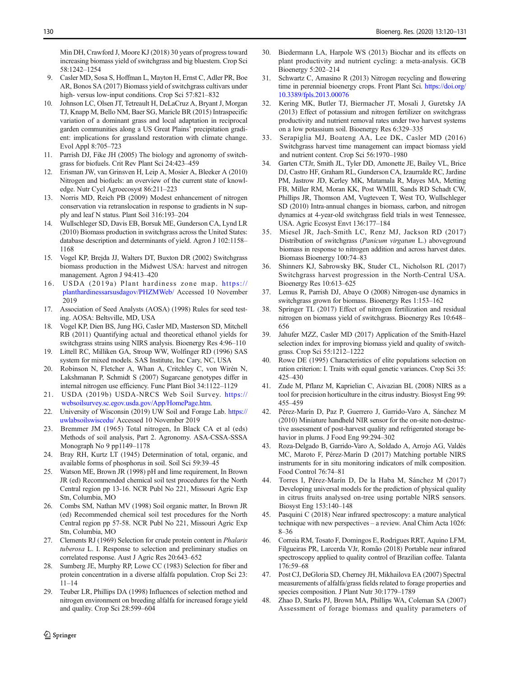<span id="page-12-0"></span>Min DH, Crawford J, Moore KJ (2018) 30 years of progress toward increasing biomass yield of switchgrass and big bluestem. Crop Sci 58:1242–1254

- 9. Casler MD, Sosa S, Hoffman L, Mayton H, Ernst C, Adler PR, Boe AR, Bonos SA (2017) Biomass yield of switchgrass cultivars under high- versus low-input conditions. Crop Sci 57:821-832
- 10. Johnson LC, Olsen JT, Tetreault H, DeLaCruz A, Bryant J, Morgan TJ, Knapp M, Bello NM, Baer SG, Maricle BR (2015) Intraspecific variation of a dominant grass and local adaptation in reciprocal garden communities along a US Great Plains' precipitation gradient: implications for grassland restoration with climate change. Evol Appl 8:705–723
- 11. Parrish DJ, Fike JH (2005) The biology and agronomy of switchgrass for biofuels. Crit Rev Plant Sci 24:423–459
- 12. Erisman JW, van Grinsven H, Leip A, Mosier A, Bleeker A (2010) Nitrogen and biofuels: an overview of the current state of knowledge. Nutr Cycl Agroecosyst 86:211–223
- 13. Norris MD, Reich PB (2009) Modest enhancement of nitrogen conservation via retranslocation in response to gradients in N supply and leaf N status. Plant Soil 316:193–204
- 14. Wullschleger SD, Davis EB, Borsuk ME, Gunderson CA, Lynd LR (2010) Biomass production in switchgrass across the United States: database description and determinants of yield. Agron J 102:1158– 1168
- 15. Vogel KP, Brejda JJ, Walters DT, Buxton DR (2002) Switchgrass biomass production in the Midwest USA: harvest and nitrogen management. Agron J 94:413–420
- 16. USDA (2019a) Plant hardiness zone map. [https://](https://planthardiness.ars.usda.gov/PHZMWeb/) [planthardinessarsusdagov/PHZMWeb/](https://planthardiness.ars.usda.gov/PHZMWeb/) Accessed 10 November 2019
- 17. Association of Seed Analysts (AOSA) (1998) Rules for seed testing. AOSA: Beltsville, MD, USA
- 18. Vogel KP, Dien BS, Jung HG, Casler MD, Masterson SD, Mitchell RB (2011) Quantifying actual and theoretical ethanol yields for switchgrass strains using NIRS analysis. Bioenergy Res 4:96–110
- 19. Littell RC, Milliken GA, Stroup WW, Wolfinger RD (1996) SAS system for mixed models. SAS Institute, Inc Cary, NC, USA
- 20. Robinson N, Fletcher A, Whan A, Critchley C, von Wirén N, Lakshmanan P, Schmidt S (2007) Sugarcane genotypes differ in internal nitrogen use efficiency. Func Plant Biol 34:1122–1129
- 21. USDA (2019b) USDA-NRCS Web Soil Survey. [https://](https://websoilsurvey.sc.egov.usda.gov/App/HomePage.htm) [websoilsurvey.sc.egov.usda.gov/App/HomePage.htm.](https://websoilsurvey.sc.egov.usda.gov/App/HomePage.htm)
- 22. University of Wisconsin (2019) UW Soil and Forage Lab. [https://](https://uwlab.soils.wisc.edu/) [uwlabsoilswiscedu/](https://uwlab.soils.wisc.edu/) Accessed 10 November 2019
- 23. Bremmer JM (1965) Total nitrogen, In Black CA et al (eds) Methods of soil analysis, Part 2. Agronomy. ASA-CSSA-SSSA Monograph No 9 pp1149–1178
- 24. Bray RH, Kurtz LT (1945) Determination of total, organic, and available forms of phosphorus in soil. Soil Sci 59:39–45
- 25. Watson ME, Brown JR (1998) pH and lime requirement, In Brown JR (ed) Recommended chemical soil test procedures for the North Central region pp 13-16. NCR Publ No 221, Missouri Agric Exp Stn, Columbia, MO
- 26. Combs SM, Nathan MV (1998) Soil organic matter, In Brown JR (ed) Recommended chemical soil test procedures for the North Central region pp 57-58. NCR Publ No 221, Missouri Agric Exp Stn, Columbia, MO
- 27. Clements RJ (1969) Selection for crude protein content in Phalaris tuberosa L. I. Response to selection and preliminary studies on correlated response. Aust J Agric Res 20:643–652
- 28. Sumberg JE, Murphy RP, Lowe CC (1983) Selection for fiber and protein concentration in a diverse alfalfa population. Crop Sci 23: 11–14
- 29. Teuber LR, Phillips DA (1998) Influences of selection method and nitrogen environment on breeding alfalfa for increased forage yield and quality. Crop Sci 28:599–604
- 30. Biedermann LA, Harpole WS (2013) Biochar and its effects on plant productivity and nutrient cycling: a meta-analysis. GCB Bioenergy 5:202–214
- 31. Schwartz C, Amasino R (2013) Nitrogen recycling and flowering time in perennial bioenergy crops. Front Plant Sci. [https://doi.org/](https://doi.org/10.3389/fpls.2013.00076) [10.3389/fpls.2013.00076](https://doi.org/10.3389/fpls.2013.00076)
- 32. Kering MK, Butler TJ, Biermacher JT, Mosali J, Guretsky JA (2013) Effect of potassium and nitrogen fertilizer on switchgrass productivity and nutrient removal rates under two harvest systems on a low potassium soil. Bioenergy Res 6:329–335
- 33. Serapiglia MJ, Boateng AA, Lee DK, Casler MD (2016) Switchgrass harvest time management can impact biomass yield and nutrient content. Crop Sci 56:1970–1980
- 34. Garten CTJr, Smith JL, Tyler DD, Amonette JE, Bailey VL, Brice DJ, Castro HF, Graham RL, Gunderson CA, Izaurralde RC, Jardine PM, Jastrow JD, Kerley MK, Matamala R, Mayes MA, Metting FB, Miller RM, Moran KK, Post WMIII, Sands RD Schadt CW, Phillips JR, Thomson AM, Vugteveen T, West TO, Wullschleger SD (2010) Intra-annual changes in biomass, carbon, and nitrogen dynamics at 4-year-old switchgrass field trials in west Tennessee, USA. Agric Ecosyst Envt 136:177–184
- 35. Miesel JR, Jach-Smith LC, Renz MJ, Jackson RD (2017) Distribution of switchgrass (Panicum virgatum L.) aboveground biomass in response to nitrogen addition and across harvest dates. Biomass Bioenergy 100:74–83
- 36. Shinners KJ, Sabrowsky BK, Studer CL, Nicholson RL (2017) Switchgrass harvest progression in the North-Central USA. Bioenergy Res 10:613–625
- 37. Lemus R, Parrish DJ, Abaye O (2008) Nitrogen-use dynamics in switchgrass grown for biomass. Bioenergy Res 1:153–162
- Springer TL (2017) Effect of nitrogen fertilization and residual nitrogen on biomass yield of switchgrass. Bioenergy Res 10:648– 656
- 39. Jahufer MZZ, Casler MD (2017) Application of the Smith-Hazel selection index for improving biomass yield and quality of switchgrass. Crop Sci 55:1212–1222
- 40. Rowe DE (1995) Characteristics of elite populations selection on ration criterion: I. Traits with equal genetic variances. Crop Sci 35: 425–430
- 41. Zude M, Pflanz M, Kaprielian C, Aivazian BL (2008) NIRS as a tool for precision horticulture in the citrus industry. Biosyst Eng 99: 455–459
- 42. Pérez-Marín D, Paz P, Guerrero J, Garrido-Varo A, Sánchez M (2010) Miniature handheld NIR sensor for the on-site non-destructive assessment of post-harvest quality and refrigerated storage behavior in plums. J Food Eng 99:294–302
- 43. Roza-Delgado B, Garrido-Varo A, Soldado A, Arrojo AG, Valdés MC, Maroto F, Pérez-Marín D (2017) Matching portable NIRS instruments for in situ monitoring indicators of milk composition. Food Control 76:74–81
- 44. Torres I, Pérez-Marín D, De la Haba M, Sánchez M (2017) Developing universal models for the prediction of physical quality in citrus fruits analysed on-tree using portable NIRS sensors. Biosyst Eng 153:140–148
- 45. Pasquini C (2018) Near infrared spectroscopy: a mature analytical technique with new perspectives – a review. Anal Chim Acta 1026: 8–36
- 46. Correia RM, Tosato F, Domingos E, Rodrigues RRT, Aquino LFM, Filgueiras PR, Larcerda VJr, Romão (2018) Portable near infrared spectroscopy applied to quality control of Brazilian coffee. Talanta 176:59–68
- 47. Post CJ, DeGloria SD, Cherney JH, Mikhailova EA (2007) Spectral measurements of alfalfa/grass fields related to forage properties and species composition. J Plant Nutr 30:1779–1789
- 48. Zhao D, Starks PJ, Brown MA, Phillips WA, Coleman SA (2007) Assessment of forage biomass and quality parameters of